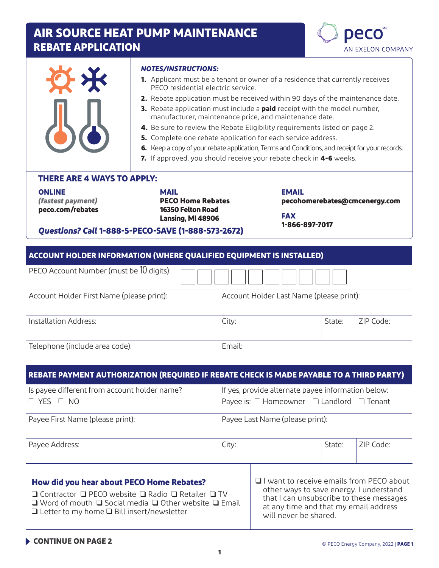# **AIR SOURCE HEAT PUMP MAINTENANCE REBATE APPLICATION**



|                                                                                                                                  | <b>NOTES/INSTRUCTIONS:</b><br>PFCO residential electric service.                  | <b>1.</b> Applicant must be a tenant or owner of a residence that currently receives<br>2. Rebate application must be received within 90 days of the maintenance date.<br>3. Rebate application must include a paid receipt with the model number,<br>manufacturer, maintenance price, and maintenance date.<br>4. Be sure to review the Rebate Eligibility requirements listed on page 2.<br>5. Complete one rebate application for each service address.<br>6. Keep a copy of your rebate application, Terms and Conditions, and receipt for your records.<br>7. If approved, you should receive your rebate check in 4-6 weeks. |        |                               |  |
|----------------------------------------------------------------------------------------------------------------------------------|-----------------------------------------------------------------------------------|------------------------------------------------------------------------------------------------------------------------------------------------------------------------------------------------------------------------------------------------------------------------------------------------------------------------------------------------------------------------------------------------------------------------------------------------------------------------------------------------------------------------------------------------------------------------------------------------------------------------------------|--------|-------------------------------|--|
| <b>THERE ARE 4 WAYS TO APPLY:</b><br><b>ONLINE</b><br>(fastest payment)<br>peco.com/rebates                                      | <b>MAIL</b><br><b>PECO Home Rebates</b><br>16350 Felton Road<br>Lansing, MI 48906 | <b>EMAIL</b><br><b>FAX</b><br>1-866-897-7017                                                                                                                                                                                                                                                                                                                                                                                                                                                                                                                                                                                       |        | pecohomerebates@cmcenergy.com |  |
| Questions? Call 1-888-5-PECO-SAVE (1-888-573-2672)<br><b>ACCOUNT HOLDER INFORMATION (WHERE QUALIFIED EQUIPMENT IS INSTALLED)</b> |                                                                                   |                                                                                                                                                                                                                                                                                                                                                                                                                                                                                                                                                                                                                                    |        |                               |  |
| PECO Account Number (must be 10 digits):                                                                                         |                                                                                   |                                                                                                                                                                                                                                                                                                                                                                                                                                                                                                                                                                                                                                    |        |                               |  |
| Account Holder First Name (please print):                                                                                        |                                                                                   | Account Holder Last Name (please print):                                                                                                                                                                                                                                                                                                                                                                                                                                                                                                                                                                                           |        |                               |  |
| Installation Address:                                                                                                            |                                                                                   | City:                                                                                                                                                                                                                                                                                                                                                                                                                                                                                                                                                                                                                              | State: | ZIP Code:                     |  |

Telephone (include area code):  $\qquad \qquad$  Email:

#### **REBATE PAYMENT AUTHORIZATION (REQUIRED IF REBATE CHECK IS MADE PAYABLE TO A THIRD PARTY)**

| Is payee different from account holder name?<br><b>YES</b><br>NO | If yes, provide alternate payee information below:<br>Payee is: $\overline{\phantom{a}}$ Homeowner I Landlord<br>∣ Tenant |  |
|------------------------------------------------------------------|---------------------------------------------------------------------------------------------------------------------------|--|
| Payee First Name (please print):                                 | Payee Last Name (please print):                                                                                           |  |
| Payee Address:                                                   | 7IP Code:<br>State:<br>City:                                                                                              |  |

#### **How did you hear about PECO Home Rebates?**

❑ Contractor ❑ PECO website ❑ Radio ❑ Retailer ❑ TV ❑ Word of mouth ❑ Social media ❑ Other website ❑ Email ❑ Letter to my home ❑ Bill insert/newsletter

❑ I want to receive emails from PECO about other ways to save energy. I understand that I can unsubscribe to these messages at any time and that my email address will never be shared.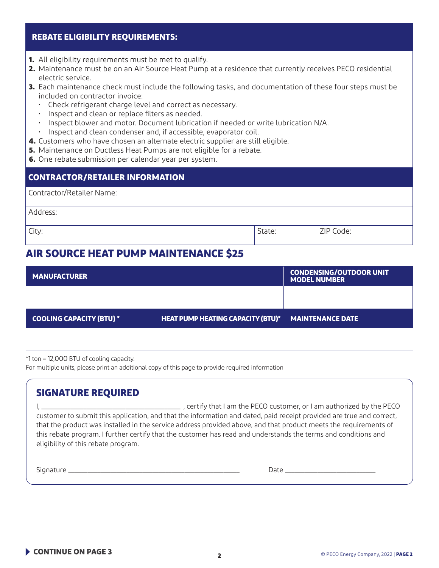#### **REBATE ELIGIBILITY REQUIREMENTS:**

- **1.** All eligibility requirements must be met to qualify.
- **2.** Maintenance must be on an Air Source Heat Pump at a residence that currently receives PECO residential electric service.
- **3.** Each maintenance check must include the following tasks, and documentation of these four steps must be included on contractor invoice:
	- Check refrigerant charge level and correct as necessary.
	- Inspect and clean or replace filters as needed.
	- Inspect blower and motor. Document lubrication if needed or write lubrication N/A.
	- Inspect and clean condenser and, if accessible, evaporator coil.
- **4.** Customers who have chosen an alternate electric supplier are still eligible.
- **5.** Maintenance on Ductless Heat Pumps are not eligible for a rebate.
- **6.** One rebate submission per calendar year per system.

| <b>CONTRACTOR/RETAILER INFORMATION</b> |        |           |  |
|----------------------------------------|--------|-----------|--|
| Contractor/Retailer Name:              |        |           |  |
| Address:                               |        |           |  |
| City:                                  | State: | ZIP Code: |  |

### **AIR SOURCE HEAT PUMP MAINTENANCE \$25**

| <b>MANUFACTURER</b>             |                                          | <b>CONDENSING/OUTDOOR UNIT</b><br><b>MODEL NUMBER</b> |
|---------------------------------|------------------------------------------|-------------------------------------------------------|
|                                 |                                          |                                                       |
| <b>COOLING CAPACITY (BTU) *</b> | <b>HEAT PUMP HEATING CAPACITY (BTU)*</b> | <b>MAINTENANCE DATE</b>                               |
|                                 |                                          |                                                       |

\*1 ton = 12,000 BTU of cooling capacity.

For multiple units, please print an additional copy of this page to provide required information

| <b>SIGNATURE REQUIRED</b>                                                                                                                                    |                                                                                                                                                                                                                                                                                                                                                                                                                                     |
|--------------------------------------------------------------------------------------------------------------------------------------------------------------|-------------------------------------------------------------------------------------------------------------------------------------------------------------------------------------------------------------------------------------------------------------------------------------------------------------------------------------------------------------------------------------------------------------------------------------|
| <u> 1989 - Johann Harry Harry Harry Harry Harry Harry Harry Harry Harry Harry Harry Harry Harry Harry Harry Harry</u><br>eligibility of this rebate program. | , certify that I am the PECO customer, or I am authorized by the PECO<br>customer to submit this application, and that the information and dated, paid receipt provided are true and correct,<br>that the product was installed in the service address provided above, and that product meets the requirements of<br>this rebate program. I further certify that the customer has read and understands the terms and conditions and |
| Signature                                                                                                                                                    | Date                                                                                                                                                                                                                                                                                                                                                                                                                                |